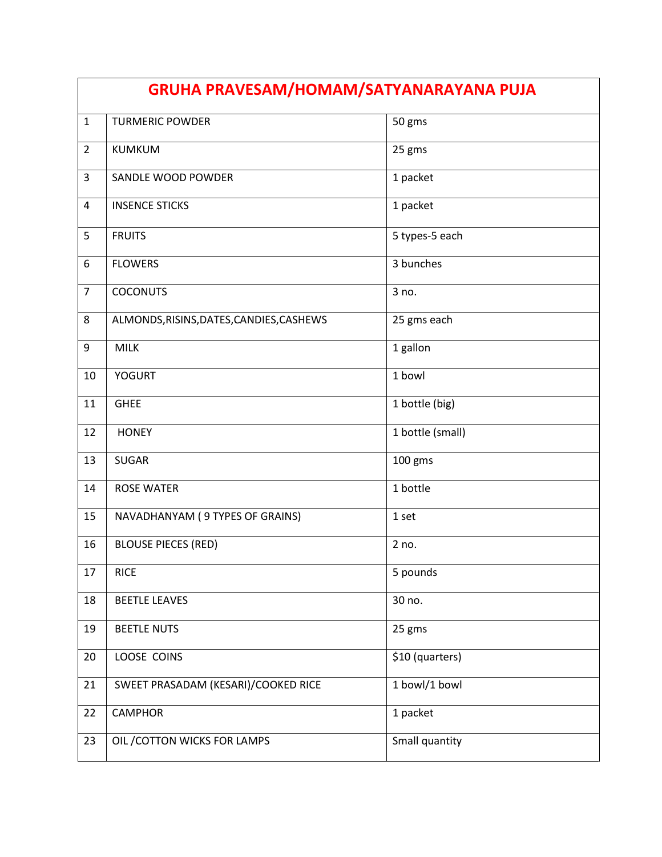| GRUHA PRAVESAM/HOMAM/SATYANARAYANA PUJA |                                          |                  |
|-----------------------------------------|------------------------------------------|------------------|
| $\mathbf{1}$                            | <b>TURMERIC POWDER</b>                   | 50 gms           |
| $\overline{2}$                          | <b>KUMKUM</b>                            | 25 gms           |
| 3                                       | SANDLE WOOD POWDER                       | 1 packet         |
| 4                                       | <b>INSENCE STICKS</b>                    | 1 packet         |
| 5                                       | <b>FRUITS</b>                            | 5 types-5 each   |
| 6                                       | <b>FLOWERS</b>                           | 3 bunches        |
| $\overline{7}$                          | <b>COCONUTS</b>                          | 3 no.            |
| 8                                       | ALMONDS, RISINS, DATES, CANDIES, CASHEWS | 25 gms each      |
| 9                                       | <b>MILK</b>                              | 1 gallon         |
| 10                                      | <b>YOGURT</b>                            | 1 bowl           |
| 11                                      | <b>GHEE</b>                              | 1 bottle (big)   |
| 12                                      | <b>HONEY</b>                             | 1 bottle (small) |
| 13                                      | <b>SUGAR</b>                             | 100 gms          |
| 14                                      | <b>ROSE WATER</b>                        | 1 bottle         |
| 15                                      | NAVADHANYAM (9 TYPES OF GRAINS)          | 1 set            |
| 16                                      | <b>BLOUSE PIECES (RED)</b>               | 2 no.            |
| 17                                      | <b>RICE</b>                              | 5 pounds         |
| 18                                      | <b>BEETLE LEAVES</b>                     | 30 no.           |
| 19                                      | <b>BEETLE NUTS</b>                       | 25 gms           |
| 20                                      | LOOSE COINS                              | \$10 (quarters)  |
| 21                                      | SWEET PRASADAM (KESARI)/COOKED RICE      | 1 bowl/1 bowl    |
| 22                                      | <b>CAMPHOR</b>                           | 1 packet         |
| 23                                      | OIL / COTTON WICKS FOR LAMPS             | Small quantity   |